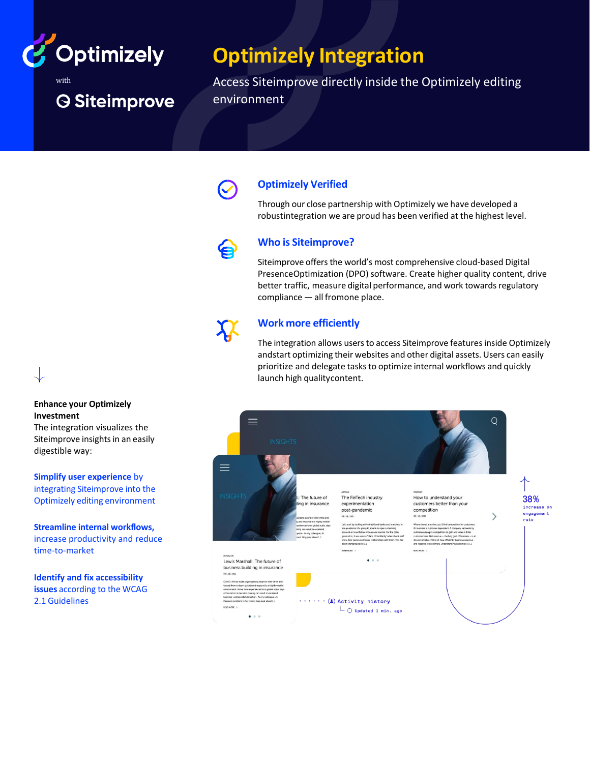

**O Siteimprove** 

with

# **Optimizely Integration**

Access Siteimprove directly inside the Optimizely editing environment



#### **Optimizely Verified**

Through our close partnership with Optimizely we have developed a robustintegration we are proud has been verified at the highest level.

#### **Who is Siteimprove?**

Siteimprove offers the world's most comprehensive cloud-based Digital PresenceOptimization (DPO) software. Create higher quality content, drive better traffic, measure digital performance, and work towards regulatory compliance — all fromone place.



#### **Work more efficiently**

The integration allows users to access Siteimprove features inside Optimizely andstart optimizing their websites and other digital assets. Users can easily prioritize and delegate tasks to optimize internal workflows and quickly launch high qualitycontent.



#### **Enhance your Optimizely Investment**

The integration visualizes the Siteimprove insights in an easily digestible way:

**Simplify user experience** by integrating Siteimprove into the Optimizely editing environment

**Streamline internal workflows,** increase productivity and reduce time-to-market

**Identify and fix accessibility issues** according to the WCAG 2.1 Guidelines